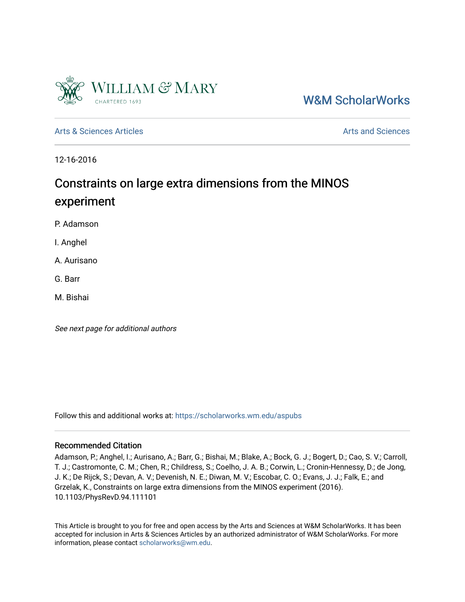

[W&M ScholarWorks](https://scholarworks.wm.edu/) 

[Arts & Sciences Articles](https://scholarworks.wm.edu/aspubs) **Articles** [Arts and Sciences](https://scholarworks.wm.edu/as) Articles Arts and Sciences Arts and Sciences Arts and Sciences

12-16-2016

# Constraints on large extra dimensions from the MINOS experiment

P. Adamson

I. Anghel

A. Aurisano

G. Barr

M. Bishai

See next page for additional authors

Follow this and additional works at: [https://scholarworks.wm.edu/aspubs](https://scholarworks.wm.edu/aspubs?utm_source=scholarworks.wm.edu%2Faspubs%2F293&utm_medium=PDF&utm_campaign=PDFCoverPages) 

### Recommended Citation

Adamson, P.; Anghel, I.; Aurisano, A.; Barr, G.; Bishai, M.; Blake, A.; Bock, G. J.; Bogert, D.; Cao, S. V.; Carroll, T. J.; Castromonte, C. M.; Chen, R.; Childress, S.; Coelho, J. A. B.; Corwin, L.; Cronin-Hennessy, D.; de Jong, J. K.; De Rijck, S.; Devan, A. V.; Devenish, N. E.; Diwan, M. V.; Escobar, C. O.; Evans, J. J.; Falk, E.; and Grzelak, K., Constraints on large extra dimensions from the MINOS experiment (2016). 10.1103/PhysRevD.94.111101

This Article is brought to you for free and open access by the Arts and Sciences at W&M ScholarWorks. It has been accepted for inclusion in Arts & Sciences Articles by an authorized administrator of W&M ScholarWorks. For more information, please contact [scholarworks@wm.edu](mailto:scholarworks@wm.edu).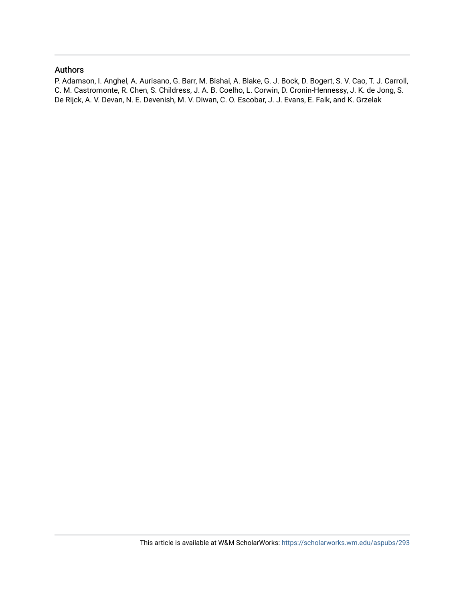## Authors

P. Adamson, I. Anghel, A. Aurisano, G. Barr, M. Bishai, A. Blake, G. J. Bock, D. Bogert, S. V. Cao, T. J. Carroll, C. M. Castromonte, R. Chen, S. Childress, J. A. B. Coelho, L. Corwin, D. Cronin-Hennessy, J. K. de Jong, S. De Rijck, A. V. Devan, N. E. Devenish, M. V. Diwan, C. O. Escobar, J. J. Evans, E. Falk, and K. Grzelak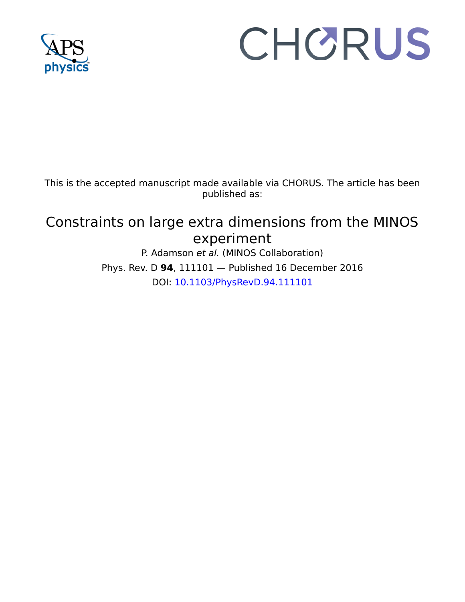

# CHORUS

This is the accepted manuscript made available via CHORUS. The article has been published as:

# Constraints on large extra dimensions from the MINOS experiment

P. Adamson et al. (MINOS Collaboration) Phys. Rev. D **94**, 111101 — Published 16 December 2016 DOI: [10.1103/PhysRevD.94.111101](http://dx.doi.org/10.1103/PhysRevD.94.111101)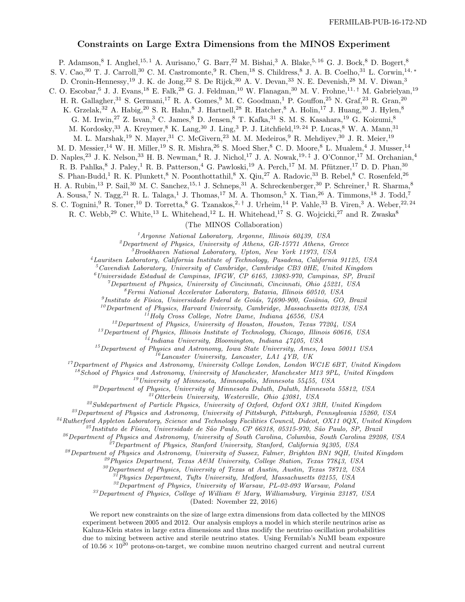#### Constraints on Large Extra Dimensions from the MINOS Experiment

P. Adamson,<sup>8</sup> I. Anghel,<sup>15, 1</sup> A. Aurisano,<sup>7</sup> G. Barr,<sup>22</sup> M. Bishai,<sup>3</sup> A. Blake,<sup>5, 16</sup> G. J. Bock,<sup>8</sup> D. Bogert,<sup>8</sup>

S. V. Cao,<sup>30</sup> T. J. Carroll,<sup>30</sup> C. M. Castromonte,<sup>9</sup> R. Chen,<sup>18</sup> S. Childress,<sup>8</sup> J. A. B. Coelho,<sup>31</sup> L. Corwin,<sup>14,</sup> <sup>∗</sup>

D. Cronin-Hennessy,<sup>19</sup> J. K. de Jong,<sup>22</sup> S. De Rijck,<sup>30</sup> A. V. Devan,<sup>33</sup> N. E. Devenish,<sup>28</sup> M. V. Diwan,<sup>3</sup>

C. O. Escobar, <sup>6</sup> J. J. Evans, <sup>18</sup> E. Falk, <sup>28</sup> G. J. Feldman, <sup>10</sup> W. Flanagan, <sup>30</sup> M. V. Frohne, <sup>11,†</sup> M. Gabrielyan, <sup>19</sup>

H. R. Gallagher,<sup>31</sup> S. Germani,<sup>17</sup> R. A. Gomes,<sup>9</sup> M. C. Goodman,<sup>1</sup> P. Gouffon,<sup>25</sup> N. Graf,<sup>23</sup> R. Gran,<sup>20</sup>

K. Grzelak,<sup>32</sup> A. Habig,<sup>20</sup> S. R. Hahn,<sup>8</sup> J. Hartnell,<sup>28</sup> R. Hatcher,<sup>8</sup> A. Holin,<sup>17</sup> J. Huang,<sup>30</sup> J. Hylen,<sup>8</sup>

G. M. Irwin,  $27$  Z. Isvan,  $3$  C. James,  $8$  D. Jensen,  $8$  T. Kafka,  $31$  S. M. S. Kasahara,  $19$  G. Koizumi,  $8$ 

M. Kordosky,  $33$  A. Kreymer,  $8$  K. Lang,  $30$  J. Ling,  $3$  P. J. Litchfield,  $19,24$  P. Lucas,  $8$  W. A. Mann,  $31$ 

M. L. Marshak,<sup>19</sup> N. Mayer,<sup>31</sup> C. McGivern,<sup>23</sup> M. M. Medeiros,<sup>9</sup> R. Mehdiyev,<sup>30</sup> J. R. Meier,<sup>19</sup>

M. D. Messier,<sup>14</sup> W. H. Miller,<sup>19</sup> S. R. Mishra,<sup>26</sup> S. Moed Sher,<sup>8</sup> C. D. Moore,<sup>8</sup> L. Mualem,<sup>4</sup> J. Musser,<sup>14</sup>

D. Naples,<sup>23</sup> J. K. Nelson,<sup>33</sup> H. B. Newman,<sup>4</sup> R. J. Nichol,<sup>17</sup> J. A. Nowak,<sup>19,‡</sup> J. O'Connor,<sup>17</sup> M. Orchanian,<sup>4</sup>

R. B. Pahlka,<sup>8</sup> J. Paley,<sup>1</sup> R. B. Patterson,<sup>4</sup> G. Pawloski,<sup>19</sup> A. Perch,<sup>17</sup> M. M. Pfützner,<sup>17</sup> D. D. Phan,<sup>30</sup>

S. Phan-Budd,<sup>1</sup> R. K. Plunkett,<sup>8</sup> N. Poonthottathil,<sup>8</sup> X. Qiu,<sup>27</sup> A. Radovic,<sup>33</sup> B. Rebel,<sup>8</sup> C. Rosenfeld,<sup>26</sup>

H. A. Rubin,<sup>13</sup> P. Sail,<sup>30</sup> M. C. Sanchez,<sup>15, 1</sup> J. Schneps,<sup>31</sup> A. Schreckenberger,<sup>30</sup> P. Schreiner,<sup>1</sup> R. Sharma,<sup>8</sup>

A. Sousa,<sup>7</sup> N. Tagg,<sup>21</sup> R. L. Talaga,<sup>1</sup> J. Thomas,<sup>17</sup> M. A. Thomson,<sup>5</sup> X. Tian,<sup>26</sup> A. Timmons,<sup>18</sup> J. Todd,<sup>7</sup>

S. C. Tognini,<sup>9</sup> R. Toner,<sup>10</sup> D. Torretta,<sup>8</sup> G. Tzanakos,<sup>2,†</sup> J. Urheim,<sup>14</sup> P. Vahle,<sup>33</sup> B. Viren,<sup>3</sup> A. Weber,<sup>22,24</sup>

R. C. Webb,<sup>29</sup> C. White,<sup>13</sup> L. Whitehead,<sup>12</sup> L. H. Whitehead,<sup>17</sup> S. G. Wojcicki,<sup>27</sup> and R. Zwaska<sup>8</sup>

(The MINOS Collaboration)

 $1$ Argonne National Laboratory, Argonne, Illinois 60439, USA

 $^{2}$ Department of Physics, University of Athens, GR-15771 Athens, Greece

<sup>3</sup>Brookhaven National Laboratory, Upton, New York 11973, USA

<sup>4</sup>Lauritsen Laboratory, California Institute of Technology, Pasadena, California 91125, USA

 $5$ Cavendish Laboratory, University of Cambridge, Cambridge CB3 0HE, United Kingdom

 $^6$ Universidade Estadual de Campinas, IFGW, CP 6165, 13083-970, Campinas, SP, Brazil

 $^7$ Department of Physics, University of Cincinnati, Cincinnati, Ohio 45221, USA

 ${}^{8}Fermi$  National Accelerator Laboratory, Batavia, Illinois 60510, USA

<sup>9</sup>Instituto de Física, Universidade Federal de Goiás, 74690-900, Goiânia, GO, Brazil

 $^{10}$ Department of Physics, Harvard University, Cambridge, Massachusetts 02138, USA

 $11$ Holy Cross College, Notre Dame, Indiana  $46556$ , USA

 $12$ Department of Physics, University of Houston, Houston, Texas  $77204$ , USA

 $^{13}$ Department of Physics, Illinois Institute of Technology, Chicago, Illinois 60616, USA

 $^{14}$ Indiana University, Bloomington, Indiana  $47405$ , USA

 $^{15}$ Department of Physics and Astronomy, Iowa State University, Ames, Iowa 50011 USA  $^{16}$ Lancaster University, Lancaster, LA1 4YB, UK

 $17$ Department of Physics and Astronomy, University College London, London WC1E 6BT, United Kingdom

 $18$ School of Physics and Astronomy, University of Manchester, Manchester M13 9PL, United Kingdom

 $19$ University of Minnesota, Minneapolis, Minnesota 55455, USA

 $^{20}$ Department of Physics, University of Minnesota Duluth, Duluth, Minnesota 55812, USA

<sup>21</sup>Otterbein University, Westerville, Ohio 43081, USA

<sup>22</sup> Subdepartment of Particle Physics, University of Oxford, Oxford OX1 3RH, United Kingdom

 $^{23}$ Department of Physics and Astronomy, University of Pittsburgh, Pittsburgh, Pennsylvania 15260, USA

 $^{24}Rutherford$  Appleton Laboratory, Science and Technology Facilities Council, Didcot, OX11 0QX, United Kingdom

 $^{25}$ Instituto de Física, Universidade de São Paulo, CP 66318, 05315-970, São Paulo, SP, Brazil

<sup>26</sup> Department of Physics and Astronomy, University of South Carolina, Columbia, South Carolina 29208, USA

 $^{27}$ Department of Physics, Stanford University, Stanford, California 94305, USA

 $^{28}$ Department of Physics and Astronomy, University of Sussex, Falmer, Brighton BN1 9QH, United Kingdom

<sup>29</sup>Physics Department, Texas A&M University, College Station, Texas  $\gamma$ 7843, USA

<sup>30</sup>Department of Physics, University of Texas at Austin, Austin, Texas 78712, USA

 $3^{37}$ Physics Department, Tufts University, Medford, Massachusetts 02155, USA

<sup>32</sup>Department of Physics, University of Warsaw, PL-02-093 Warsaw, Poland

 $33$ Department of Physics, College of William  $6$  Mary, Williamsburg, Virginia 23187, USA

(Dated: November 22, 2016)

We report new constraints on the size of large extra dimensions from data collected by the MINOS experiment between 2005 and 2012. Our analysis employs a model in which sterile neutrinos arise as Kaluza-Klein states in large extra dimensions and thus modify the neutrino oscillation probabilities due to mixing between active and sterile neutrino states. Using Fermilab's NuMI beam exposure of  $10.56 \times 10^{20}$  protons-on-target, we combine muon neutrino charged current and neutral current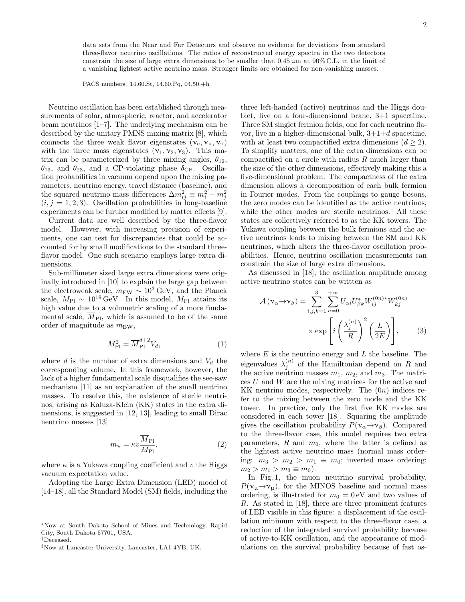data sets from the Near and Far Detectors and observe no evidence for deviations from standard three-flavor neutrino oscillations. The ratios of reconstructed energy spectra in the two detectors constrain the size of large extra dimensions to be smaller than  $0.45 \mu m$  at  $90\%$  C.L. in the limit of a vanishing lightest active neutrino mass. Stronger limits are obtained for non-vanishing masses.

PACS numbers: 14.60.St, 14.60.Pq, 04.50.+h

Neutrino oscillation has been established through measurements of solar, atmospheric, reactor, and accelerator beam neutrinos [1–7]. The underlying mechanism can be described by the unitary PMNS mixing matrix [8], which connects the three weak flavor eigenstates  $(\nu_e, \nu_\mu, \nu_\tau)$ with the three mass eigenstates  $(\mathbf{v}_1, \mathbf{v}_2, \mathbf{v}_3)$ . This matrix can be parameterized by three mixing angles,  $\theta_{12}$ ,  $\theta_{13}$ , and  $\theta_{23}$ , and a CP-violating phase  $\delta_{\rm CP}$ . Oscillation probabilities in vacuum depend upon the mixing parameters, neutrino energy, travel distance (baseline), and the squared neutrino mass differences  $\Delta m_{ij}^2 \equiv m_i^2 - m_j^2$ <br>(*i*, *j* = 1, 2, 3). Oscillation probabilities in long-baseline experiments can be further modified by matter effects [9].

Current data are well described by the three-flavor model. However, with increasing precision of experiments, one can test for discrepancies that could be accounted for by small modifications to the standard threeflavor model. One such scenario employs large extra dimensions.

Sub-millimeter sized large extra dimensions were originally introduced in [10] to explain the large gap between the electroweak scale,  $m_{\text{EW}} \sim 10^3 \,\text{GeV}$ , and the Planck scale,  $M_{\rm Pl} \sim 10^{19} \,\text{GeV}$ . In this model,  $M_{\rm Pl}$  attains its high value due to a volumetric scaling of a more fundamental scale,  $\overline{M}_{\text{Pl}}$ , which is assumed to be of the same order of magnitude as  $m_{\text{EW}}$ ,

$$
M_{\rm Pl}^2 = \overline{M}_{\rm Pl}^{d+2} V_d,\tag{1}
$$

where d is the number of extra dimensions and  $V_d$  the corresponding volume. In this framework, however, the lack of a higher fundamental scale disqualifies the see-saw mechanism [11] as an explanation of the small neutrino masses. To resolve this, the existence of sterile neutrinos, arising as Kaluza-Klein (KK) states in the extra dimensions, is suggested in [12, 13], leading to small Dirac neutrino masses [13]

$$
m_{\nu} = \kappa v \frac{\overline{M}_{\text{Pl}}}{M_{\text{Pl}}},\tag{2}
$$

where  $\kappa$  is a Yukawa coupling coefficient and v the Higgs vacuum expectation value.

Adopting the Large Extra Dimension (LED) model of [14–18], all the Standard Model (SM) fields, including the

three left-handed (active) neutrinos and the Higgs doublet, live on a four-dimensional brane, 3+1 spacetime. Three SM singlet fermion fields, one for each neutrino flavor, live in a higher-dimensional bulk,  $3+1+d$  spacetime, with at least two compactified extra dimensions  $(d \geq 2)$ . To simplify matters, one of the extra dimensions can be compactified on a circle with radius  $R$  much larger than the size of the other dimensions, effectively making this a five-dimensional problem. The compactness of the extra dimension allows a decomposition of each bulk fermion in Fourier modes. From the couplings to gauge bosons, the zero modes can be identified as the active neutrinos, while the other modes are sterile neutrinos. All these states are collectively referred to as the KK towers. The Yukawa coupling between the bulk fermions and the active neutrinos leads to mixing between the SM and KK neutrinos, which alters the three-flavor oscillation probabilities. Hence, neutrino oscillation measurements can constrain the size of large extra dimensions.

As discussed in [18], the oscillation amplitude among active neutrino states can be written as

$$
\mathcal{A}(\mathbf{v}_{\alpha} \rightarrow \mathbf{v}_{\beta}) = \sum_{i,j,k=1}^{3} \sum_{n=0}^{+\infty} U_{\alpha i} U_{\beta k}^{*} W_{ij}^{(0n)*} W_{kj}^{(0n)}
$$

$$
\times \exp\left[i\left(\frac{\lambda_{j}^{(n)}}{R}\right)^{2}\left(\frac{L}{2E}\right)\right],\tag{3}
$$

where  $E$  is the neutrino energy and  $L$  the baseline. The eigenvalues  $\lambda_j^{(n)}$  of the Hamiltonian depend on R and the active neutrino masses  $m_1, m_2$ , and  $m_3$ . The matrices U and W are the mixing matrices for the active and KK neutrino modes, respectively. The  $(0n)$  indices refer to the mixing between the zero mode and the KK tower. In practice, only the first five KK modes are considered in each tower [18]. Squaring the amplitude gives the oscillation probability  $P(\mathsf{v}_\alpha \rightarrow \mathsf{v}_\beta)$ . Compared to the three-flavor case, this model requires two extra parameters,  $R$  and  $m_0$ , where the latter is defined as the lightest active neutrino mass (normal mass ordering:  $m_3 > m_2 > m_1 \equiv m_0$ ; inverted mass ordering:  $m_2 > m_1 > m_3 \equiv m_0$ ).

In Fig. 1, the muon neutrino survival probability,  $P(\mathsf{v}_\mathfrak{u}\rightarrow\mathsf{v}_\mathfrak{u})$ , for the MINOS baseline and normal mass ordering, is illustrated for  $m_0 = 0$  eV and two values of R. As stated in [18], there are three prominent features of LED visible in this figure: a displacement of the oscillation minimum with respect to the three-flavor case, a reduction of the integrated survival probability because of active-to-KK oscillation, and the appearance of modulations on the survival probability because of fast os-

<sup>∗</sup>Now at South Dakota School of Mines and Technology, Rapid City, South Dakota 57701, USA.

<sup>†</sup>Deceased.

<sup>‡</sup>Now at Lancaster University, Lancaster, LA1 4YB, UK.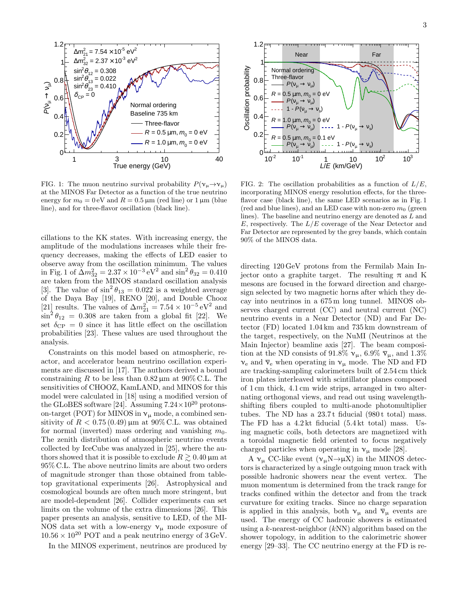

FIG. 1: The muon neutrino survival probability  $P(\nu_{\mu} \rightarrow \nu_{\mu})$ at the MINOS Far Detector as a function of the true neutrino energy for  $m_0 = 0$  eV and  $R = 0.5 \,\mu\text{m}$  (red line) or 1  $\mu\text{m}$  (blue line), and for three-flavor oscillation (black line).

cillations to the KK states. With increasing energy, the amplitude of the modulations increases while their frequency decreases, making the effects of LED easier to observe away from the oscillation minimum. The values in Fig. 1 of  $\Delta m_{32}^2 = 2.37 \times 10^{-3} \,\text{eV}^2$  and  $\sin^2 \theta_{32} = 0.410$ are taken from the MINOS standard oscillation analysis [3]. The value of  $\sin^2 \theta_{13} = 0.022$  is a weighted average of the Daya Bay [19], RENO [20], and Double Chooz [21] results. The values of  $\Delta m_{21}^2 = 7.54 \times 10^{-5} \,\text{eV}^2$  and  $\sin^2 \theta_{12} = 0.308$  are taken from a global fit [22]. We set  $\delta_{\text{CP}} = 0$  since it has little effect on the oscillation probabilities [23]. These values are used throughout the analysis.

Constraints on this model based on atmospheric, reactor, and accelerator beam neutrino oscillation experiments are discussed in [17]. The authors derived a bound constraining R to be less than  $0.82 \,\mu m$  at  $90\%$  C.L. The sensitivities of CHOOZ, KamLAND, and MINOS for this model were calculated in [18] using a modified version of the GLoBES software [24]. Assuming  $7.24 \times 10^{20}$  protonson-target (POT) for MINOS in  $v_{\mu}$  mode, a combined sensitivity of  $R < 0.75 (0.49)$  µm at 90% C.L. was obtained for normal (inverted) mass ordering and vanishing  $m_0$ . The zenith distribution of atmospheric neutrino events collected by IceCube was analyzed in [25], where the authors showed that it is possible to exclude  $R \gtrsim 0.40 \,\mu\text{m}$  at 95% C.L. The above neutrino limits are about two orders of magnitude stronger than those obtained from tabletop gravitational experiments [26]. Astrophysical and cosmological bounds are often much more stringent, but are model-dependent [26]. Collider experiments can set limits on the volume of the extra dimensions [26]. This paper presents an analysis, sensitive to LED, of the MI-NOS data set with a low-energy  $v_{\mu}$  mode exposure of  $10.56 \times 10^{20}$  POT and a peak neutrino energy of 3 GeV.

In the MINOS experiment, neutrinos are produced by



FIG. 2: The oscillation probabilities as a function of  $L/E$ , incorporating MINOS energy resolution effects, for the threeflavor case (black line), the same LED scenarios as in Fig. 1 (red and blue lines), and an LED case with non-zero  $m_0$  (green lines). The baseline and neutrino energy are denoted as L and  $E$ , respectively. The  $L/E$  coverage of the Near Detector and Far Detector are represented by the grey bands, which contain 90% of the MINOS data.

directing 120 GeV protons from the Fermilab Main Injector onto a graphite target. The resulting  $\pi$  and K mesons are focused in the forward direction and chargesign selected by two magnetic horns after which they decay into neutrinos in a 675 m long tunnel. MINOS observes charged current (CC) and neutral current (NC) neutrino events in a Near Detector (ND) and Far Detector (FD) located 1.04 km and 735 km downstream of the target, respectively, on the NuMI (Neutrinos at the Main Injector) beamline axis [27]. The beam composition at the ND consists of 91.8%  $v_{\mu}$ , 6.9%  $\overline{v}_{\mu}$ , and 1.3%  $v_e$  and  $\bar{v}_e$  when operating in  $v_\mu$  mode. The ND and FD are tracking-sampling calorimeters built of 2.54 cm thick iron plates interleaved with scintillator planes composed of 1 cm thick, 4.1 cm wide strips, arranged in two alternating orthogonal views, and read out using wavelengthshifting fibers coupled to multi-anode photomultiplier tubes. The ND has a 23.7t fiducial (980t total) mass. The FD has a 4.2 kt fiducial (5.4 kt total) mass. Using magnetic coils, both detectors are magnetized with a toroidal magnetic field oriented to focus negatively charged particles when operating in  $v_{\mu}$  mode [28].

A  $v_\mu$  CC-like event  $(v_\mu N \rightarrow \mu X)$  in the MINOS detectors is characterized by a single outgoing muon track with possible hadronic showers near the event vertex. The muon momentum is determined from the track range for tracks confined within the detector and from the track curvature for exiting tracks. Since no charge separation is applied in this analysis, both  $\nu_{\mu}$  and  $\bar{\nu}_{\mu}$  events are used. The energy of CC hadronic showers is estimated using a k-nearest-neighbor  $(kNN)$  algorithm based on the shower topology, in addition to the calorimetric shower energy [29–33]. The CC neutrino energy at the FD is re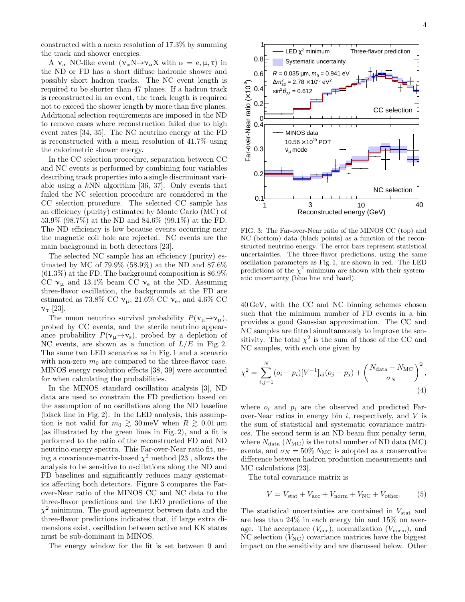constructed with a mean resolution of 17.3% by summing the track and shower energies.

A  $\nu_{\alpha}$  NC-like event  $(\nu_{\alpha}N \rightarrow \nu_{\alpha}X$  with  $\alpha = e, \mu, \tau)$  in the ND or FD has a short diffuse hadronic shower and possibly short hadron tracks. The NC event length is required to be shorter than 47 planes. If a hadron track is reconstructed in an event, the track length is required not to exceed the shower length by more than five planes. Additional selection requirements are imposed in the ND to remove cases where reconstruction failed due to high event rates [34, 35]. The NC neutrino energy at the FD is reconstructed with a mean resolution of 41.7% using the calorimetric shower energy.

In the CC selection procedure, separation between CC and NC events is performed by combining four variables describing track properties into a single discriminant variable using a kNN algorithm [36, 37]. Only events that failed the NC selection procedure are considered in the CC selection procedure. The selected CC sample has an efficiency (purity) estimated by Monte Carlo (MC) of 53.9% (98.7%) at the ND and 84.6% (99.1%) at the FD. The ND efficiency is low because events occurring near the magnetic coil hole are rejected. NC events are the main background in both detectors [23].

The selected NC sample has an efficiency (purity) estimated by MC of 79.9% (58.9%) at the ND and 87.6%  $(61.3\%)$  at the FD. The background composition is  $86.9\%$ CC  $v_{\mu}$  and 13.1% beam CC  $v_{e}$  at the ND. Assuming three-flavor oscillation, the backgrounds at the FD are estimated as 73.8% CC  $v_{\mu}$ , 21.6% CC  $v_{e}$ , and 4.6% CC  $ν_τ$  [23].

The muon neutrino survival probability  $P(\nu_{\mu} \rightarrow \nu_{\mu}),$ probed by CC events, and the sterile neutrino appearance probability  $P(\mathsf{v}_\mu \rightarrow \mathsf{v}_\mathrm{s})$ , probed by a depletion of NC events, are shown as a function of  $L/E$  in Fig. 2. The same two LED scenarios as in Fig. 1 and a scenario with non-zero  $m_0$  are compared to the three-flavor case. MINOS energy resolution effects [38, 39] were accounted for when calculating the probabilities.

In the MINOS standard oscillation analysis [3], ND data are used to constrain the FD prediction based on the assumption of no oscillations along the ND baseline (black line in Fig. 2). In the LED analysis, this assumption is not valid for  $m_0 \gtrsim 30 \,\text{meV}$  when  $R \gtrsim 0.01 \,\text{\mu m}$ (as illustrated by the green lines in Fig. 2), and a fit is performed to the ratio of the reconstructed FD and ND neutrino energy spectra. This Far-over-Near ratio fit, using a covariance-matrix-based  $\chi^2$  method [23], allows the analysis to be sensitive to oscillations along the ND and FD baselines and significantly reduces many systematics affecting both detectors. Figure 3 compares the Farover-Near ratio of the MINOS CC and NC data to the three-flavor predictions and the LED predictions of the  $\chi^2$  minimum. The good agreement between data and the three-flavor predictions indicates that, if large extra dimensions exist, oscillation between active and KK states must be sub-dominant in MINOS.

The energy window for the fit is set between 0 and



FIG. 3: The Far-over-Near ratio of the MINOS CC (top) and NC (bottom) data (black points) as a function of the reconstructed neutrino energy. The error bars represent statistical uncertainties. The three-flavor predictions, using the same oscillation parameters as Fig. 1, are shown in red. The LED predictions of the  $\chi^2$  minimum are shown with their systematic uncertainty (blue line and band).

40 GeV, with the CC and NC binning schemes chosen such that the minimum number of FD events in a bin provides a good Gaussian approximation. The CC and NC samples are fitted simultaneously to improve the sensitivity. The total  $\chi^2$  is the sum of those of the CC and NC samples, with each one given by

$$
\chi^{2} = \sum_{i,j=1}^{N} (o_{i} - p_{i}) [V^{-1}]_{ij} (o_{j} - p_{j}) + \left(\frac{N_{\text{data}} - N_{\text{MC}}}{\sigma_{N}}\right)^{2},
$$
\n(4)

where  $o_i$  and  $p_i$  are the observed and predicted Farover-Near ratios in energy bin  $i$ , respectively, and  $V$  is the sum of statistical and systematic covariance matrices. The second term is an ND beam flux penalty term, where  $N_{\text{data}}$  ( $N_{\text{MC}}$ ) is the total number of ND data (MC) events, and  $\sigma_N = 50\% N_{MC}$  is adopted as a conservative difference between hadron production measurements and MC calculations [23].

The total covariance matrix is

$$
V = V_{\text{stat}} + V_{\text{acc}} + V_{\text{norm}} + V_{\text{NC}} + V_{\text{other}}.
$$
 (5)

The statistical uncertainties are contained in  $V_{\text{stat}}$  and are less than 24% in each energy bin and 15% on average. The acceptance  $(V_{\text{acc}})$ , normalization  $(V_{\text{norm}})$ , and NC selection  $(V_{\text{NC}})$  covariance matrices have the biggest impact on the sensitivity and are discussed below. Other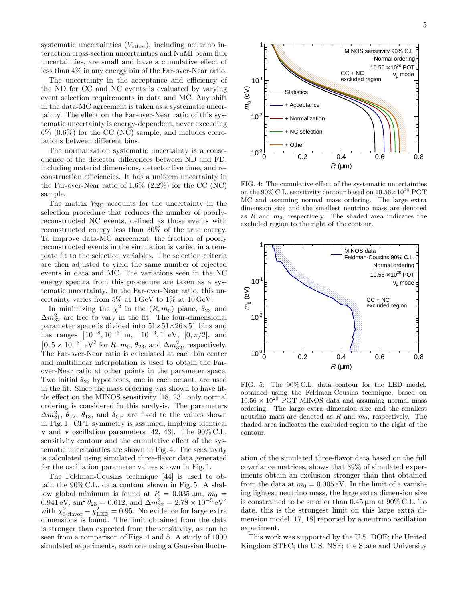systematic uncertainties  $(V_{other})$ , including neutrino interaction cross-section uncertainties and NuMI beam flux uncertainties, are small and have a cumulative effect of less than 4% in any energy bin of the Far-over-Near ratio.

The uncertainty in the acceptance and efficiency of the ND for CC and NC events is evaluated by varying event selection requirements in data and MC. Any shift in the data-MC agreement is taken as a systematic uncertainty. The effect on the Far-over-Near ratio of this systematic uncertainty is energy-dependent, never exceeding  $6\%$   $(0.6\%)$  for the CC (NC) sample, and includes correlations between different bins.

The normalization systematic uncertainty is a consequence of the detector differences between ND and FD, including material dimensions, detector live time, and reconstruction efficiencies. It has a uniform uncertainty in the Far-over-Near ratio of 1.6% (2.2%) for the CC (NC) sample.

The matrix  $V_{\text{NC}}$  accounts for the uncertainty in the selection procedure that reduces the number of poorlyreconstructed NC events, defined as those events with reconstructed energy less than 30% of the true energy. To improve data-MC agreement, the fraction of poorly reconstructed events in the simulation is varied in a template fit to the selection variables. The selection criteria are then adjusted to yield the same number of rejected events in data and MC. The variations seen in the NC energy spectra from this procedure are taken as a systematic uncertainty. In the Far-over-Near ratio, this uncertainty varies from  $5\%$  at  $1 \text{ GeV}$  to  $1\%$  at  $10 \text{ GeV}$ .

In minimizing the  $\chi^2$  in the  $(R, m_0)$  plane,  $\theta_{23}$  and  $\Delta m_{32}^2$  are free to vary in the fit. The four-dimensional parameter space is divided into  $51\times51\times26\times51$  bins and has ranges  $[10^{-8}, 10^{-6}]$  m,  $[10^{-3}, 1]$  eV,  $[0, \pi/2]$ , and  $[0, 5 \times 10^{-3}]$  eV<sup>2</sup> for R,  $m_0$ ,  $\theta_{23}$ , and  $\Delta m_{32}^2$ , respectively. The Far-over-Near ratio is calculated at each bin center and multilinear interpolation is used to obtain the Farover-Near ratio at other points in the parameter space. Two initial  $\theta_{23}$  hypotheses, one in each octant, are used in the fit. Since the mass ordering was shown to have little effect on the MINOS sensitivity [18, 23], only normal ordering is considered in this analysis. The parameters  $\Delta m_{21}^2$ ,  $\theta_{12}$ ,  $\theta_{13}$ , and  $\delta_{\text{CP}}$  are fixed to the values shown in Fig. 1. CPT symmetry is assumed, implying identical v and  $\bar{v}$  oscillation parameters [42, 43]. The 90% C.L. sensitivity contour and the cumulative effect of the systematic uncertainties are shown in Fig. 4. The sensitivity is calculated using simulated three-flavor data generated for the oscillation parameter values shown in Fig. 1.

The Feldman-Cousins technique [44] is used to obtain the 90% C.L. data contour shown in Fig. 5. A shallow global minimum is found at  $R = 0.035 \,\mu \text{m}$ ,  $m_0 =$  $0.941 \text{ eV}, \sin^2 \theta_{23} = 0.612, \text{ and } \Delta m_{32}^2 = 2.78 \times 10^{-3} \text{ eV}^2$ with  $\chi^2_{3\text{-flavor}} - \chi^2_{\text{LED}} = 0.95$ . No evidence for large extra dimensions is found. The limit obtained from the data is stronger than expected from the sensitivity, as can be seen from a comparison of Figs. 4 and 5. A study of 1000 simulated experiments, each one using a Gaussian fluctu-



FIG. 4: The cumulative effect of the systematic uncertainties on the 90% C.L. sensitivity contour based on  $10.56 \times 10^{20}$  POT MC and assuming normal mass ordering. The large extra dimension size and the smallest neutrino mass are denoted as R and  $m_0$ , respectively. The shaded area indicates the excluded region to the right of the contour.



FIG. 5: The 90% C.L. data contour for the LED model, obtained using the Feldman-Cousins technique, based on  $10.56 \times 10^{20}$  POT MINOS data and assuming normal mass ordering. The large extra dimension size and the smallest neutrino mass are denoted as  $R$  and  $m_0$ , respectively. The shaded area indicates the excluded region to the right of the contour.

ation of the simulated three-flavor data based on the full covariance matrices, shows that 39% of simulated experiments obtain an exclusion stronger than that obtained from the data at  $m_0 = 0.005 \text{ eV}$ . In the limit of a vanishing lightest neutrino mass, the large extra dimension size is constrained to be smaller than 0.45 µm at 90% C.L. To date, this is the strongest limit on this large extra dimension model [17, 18] reported by a neutrino oscillation experiment.

This work was supported by the U.S. DOE; the United Kingdom STFC; the U.S. NSF; the State and University